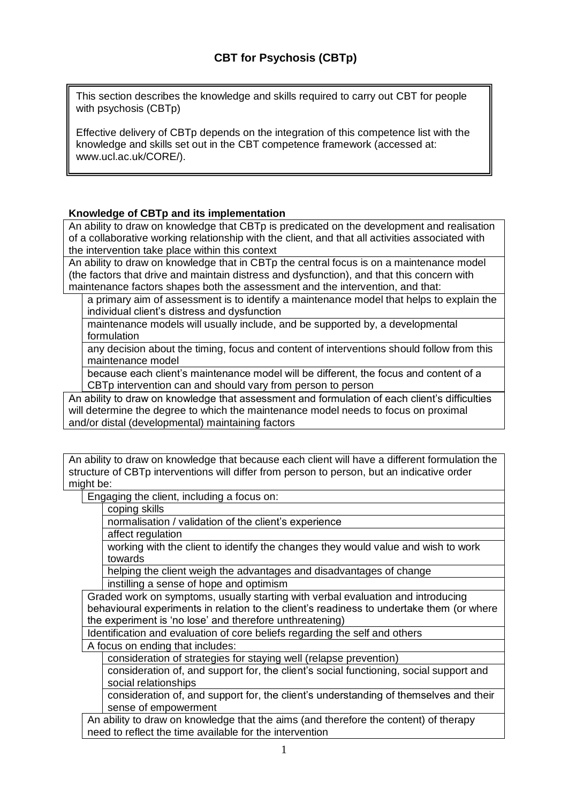This section describes the knowledge and skills required to carry out CBT for people with psychosis (CBTp)

Effective delivery of CBTp depends on the integration of this competence list with the knowledge and skills set out in the CBT competence framework (accessed at: www.ucl.ac.uk/CORE/).

# **Knowledge of CBTp and its implementation**

An ability to draw on knowledge that CBTp is predicated on the development and realisation of a collaborative working relationship with the client, and that all activities associated with the intervention take place within this context

An ability to draw on knowledge that in CBTp the central focus is on a maintenance model (the factors that drive and maintain distress and dysfunction), and that this concern with maintenance factors shapes both the assessment and the intervention, and that:

a primary aim of assessment is to identify a maintenance model that helps to explain the individual client's distress and dysfunction

maintenance models will usually include, and be supported by, a developmental formulation

any decision about the timing, focus and content of interventions should follow from this maintenance model

because each client's maintenance model will be different, the focus and content of a CBTp intervention can and should vary from person to person

An ability to draw on knowledge that assessment and formulation of each client's difficulties will determine the degree to which the maintenance model needs to focus on proximal and/or distal (developmental) maintaining factors

An ability to draw on knowledge that because each client will have a different formulation the structure of CBTp interventions will differ from person to person, but an indicative order might be:

Engaging the client, including a focus on:

coping skills

normalisation / validation of the client's experience

affect regulation

working with the client to identify the changes they would value and wish to work towards

helping the client weigh the advantages and disadvantages of change instilling a sense of hope and optimism

Graded work on symptoms, usually starting with verbal evaluation and introducing behavioural experiments in relation to the client's readiness to undertake them (or where the experiment is 'no lose' and therefore unthreatening)

Identification and evaluation of core beliefs regarding the self and others A focus on ending that includes:

consideration of strategies for staying well (relapse prevention)

consideration of, and support for, the client's social functioning, social support and social relationships

consideration of, and support for, the client's understanding of themselves and their sense of empowerment

An ability to draw on knowledge that the aims (and therefore the content) of therapy need to reflect the time available for the intervention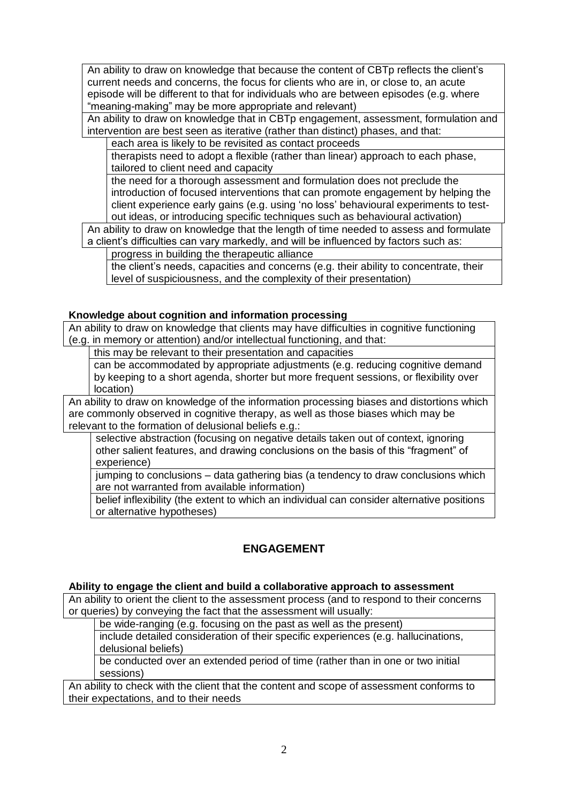An ability to draw on knowledge that because the content of CBTp reflects the client's current needs and concerns, the focus for clients who are in, or close to, an acute episode will be different to that for individuals who are between episodes (e.g. where "meaning-making" may be more appropriate and relevant)

An ability to draw on knowledge that in CBTp engagement, assessment, formulation and intervention are best seen as iterative (rather than distinct) phases, and that:

each area is likely to be revisited as contact proceeds

therapists need to adopt a flexible (rather than linear) approach to each phase, tailored to client need and capacity

the need for a thorough assessment and formulation does not preclude the introduction of focused interventions that can promote engagement by helping the client experience early gains (e.g. using 'no loss' behavioural experiments to testout ideas, or introducing specific techniques such as behavioural activation)

An ability to draw on knowledge that the length of time needed to assess and formulate a client's difficulties can vary markedly, and will be influenced by factors such as:

progress in building the therapeutic alliance

the client's needs, capacities and concerns (e.g. their ability to concentrate, their level of suspiciousness, and the complexity of their presentation)

## **Knowledge about cognition and information processing**

An ability to draw on knowledge that clients may have difficulties in cognitive functioning (e.g. in memory or attention) and/or intellectual functioning, and that:

this may be relevant to their presentation and capacities

can be accommodated by appropriate adjustments (e.g. reducing cognitive demand by keeping to a short agenda, shorter but more frequent sessions, or flexibility over location)

An ability to draw on knowledge of the information processing biases and distortions which are commonly observed in cognitive therapy, as well as those biases which may be relevant to the formation of delusional beliefs e.g.:

selective abstraction (focusing on negative details taken out of context, ignoring other salient features, and drawing conclusions on the basis of this "fragment" of experience)

jumping to conclusions – data gathering bias (a tendency to draw conclusions which are not warranted from available information)

belief inflexibility (the extent to which an individual can consider alternative positions or alternative hypotheses)

# **ENGAGEMENT**

## **Ability to engage the client and build a collaborative approach to assessment**

An ability to orient the client to the assessment process (and to respond to their concerns or queries) by conveying the fact that the assessment will usually:

be wide-ranging (e.g. focusing on the past as well as the present)

include detailed consideration of their specific experiences (e.g. hallucinations, delusional beliefs)

be conducted over an extended period of time (rather than in one or two initial sessions)

An ability to check with the client that the content and scope of assessment conforms to their expectations, and to their needs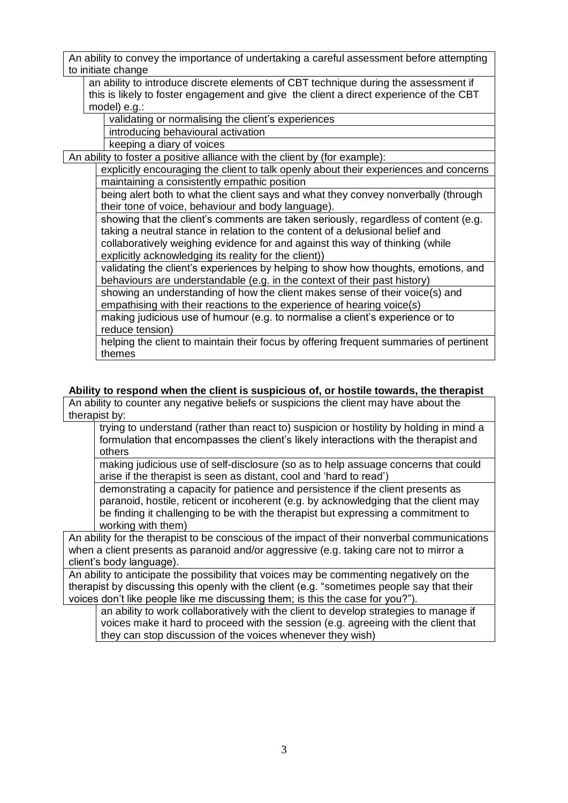An ability to convey the importance of undertaking a careful assessment before attempting to initiate change

an ability to introduce discrete elements of CBT technique during the assessment if this is likely to foster engagement and give the client a direct experience of the CBT model) e.g.:

validating or normalising the client's experiences

introducing behavioural activation

keeping a diary of voices

An ability to foster a positive alliance with the client by (for example):

explicitly encouraging the client to talk openly about their experiences and concerns maintaining a consistently empathic position

being alert both to what the client says and what they convey nonverbally (through their tone of voice, behaviour and body language).

showing that the client's comments are taken seriously, regardless of content (e.g. taking a neutral stance in relation to the content of a delusional belief and collaboratively weighing evidence for and against this way of thinking (while explicitly acknowledging its reality for the client))

validating the client's experiences by helping to show how thoughts, emotions, and behaviours are understandable (e.g. in the context of their past history)

showing an understanding of how the client makes sense of their voice(s) and empathising with their reactions to the experience of hearing voice(s)

making judicious use of humour (e.g. to normalise a client's experience or to reduce tension)

helping the client to maintain their focus by offering frequent summaries of pertinent themes

# **Ability to respond when the client is suspicious of, or hostile towards, the therapist**

An ability to counter any negative beliefs or suspicions the client may have about the therapist by:

trying to understand (rather than react to) suspicion or hostility by holding in mind a formulation that encompasses the client's likely interactions with the therapist and others

making judicious use of self-disclosure (so as to help assuage concerns that could arise if the therapist is seen as distant, cool and 'hard to read')

demonstrating a capacity for patience and persistence if the client presents as paranoid, hostile, reticent or incoherent (e.g. by acknowledging that the client may be finding it challenging to be with the therapist but expressing a commitment to working with them)

An ability for the therapist to be conscious of the impact of their nonverbal communications when a client presents as paranoid and/or aggressive (e.g. taking care not to mirror a client's body language).

An ability to anticipate the possibility that voices may be commenting negatively on the therapist by discussing this openly with the client (e.g. "sometimes people say that their voices don't like people like me discussing them; is this the case for you?").

an ability to work collaboratively with the client to develop strategies to manage if voices make it hard to proceed with the session (e.g. agreeing with the client that they can stop discussion of the voices whenever they wish)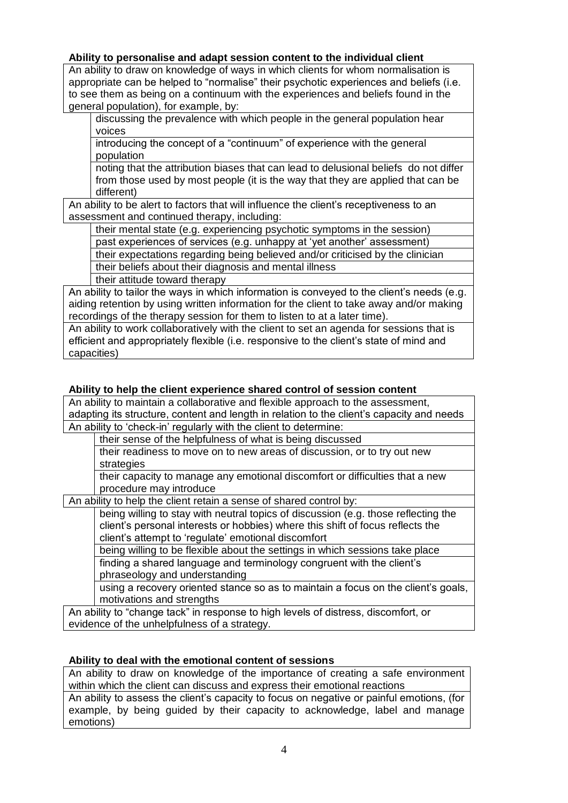## **Ability to personalise and adapt session content to the individual client**

An ability to draw on knowledge of ways in which clients for whom normalisation is appropriate can be helped to "normalise" their psychotic experiences and beliefs (i.e. to see them as being on a continuum with the experiences and beliefs found in the general population), for example, by:

discussing the prevalence with which people in the general population hear voices

introducing the concept of a "continuum" of experience with the general population

noting that the attribution biases that can lead to delusional beliefs do not differ from those used by most people (it is the way that they are applied that can be different)

An ability to be alert to factors that will influence the client's receptiveness to an assessment and continued therapy, including:

their mental state (e.g. experiencing psychotic symptoms in the session)

past experiences of services (e.g. unhappy at 'yet another' assessment)

their expectations regarding being believed and/or criticised by the clinician

their beliefs about their diagnosis and mental illness

their attitude toward therapy

An ability to tailor the ways in which information is conveyed to the client's needs (e.g. aiding retention by using written information for the client to take away and/or making recordings of the therapy session for them to listen to at a later time).

An ability to work collaboratively with the client to set an agenda for sessions that is efficient and appropriately flexible (i.e. responsive to the client's state of mind and capacities)

#### **Ability to help the client experience shared control of session content**

An ability to maintain a collaborative and flexible approach to the assessment, adapting its structure, content and length in relation to the client's capacity and needs An ability to 'check-in' regularly with the client to determine:

their sense of the helpfulness of what is being discussed

their readiness to move on to new areas of discussion, or to try out new strategies

their capacity to manage any emotional discomfort or difficulties that a new procedure may introduce

An ability to help the client retain a sense of shared control by:

being willing to stay with neutral topics of discussion (e.g. those reflecting the client's personal interests or hobbies) where this shift of focus reflects the client's attempt to 'regulate' emotional discomfort

being willing to be flexible about the settings in which sessions take place finding a shared language and terminology congruent with the client's phraseology and understanding

using a recovery oriented stance so as to maintain a focus on the client's goals, motivations and strengths

An ability to "change tack" in response to high levels of distress, discomfort, or evidence of the unhelpfulness of a strategy.

## **Ability to deal with the emotional content of sessions**

An ability to draw on knowledge of the importance of creating a safe environment within which the client can discuss and express their emotional reactions

An ability to assess the client's capacity to focus on negative or painful emotions, (for example, by being guided by their capacity to acknowledge, label and manage emotions)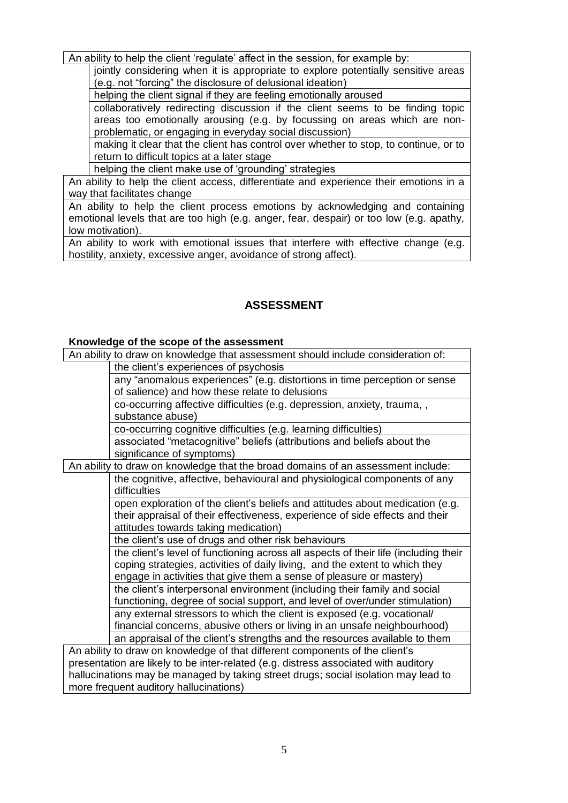An ability to help the client 'regulate' affect in the session, for example by:

jointly considering when it is appropriate to explore potentially sensitive areas (e.g. not "forcing" the disclosure of delusional ideation)

helping the client signal if they are feeling emotionally aroused

collaboratively redirecting discussion if the client seems to be finding topic areas too emotionally arousing (e.g. by focussing on areas which are nonproblematic, or engaging in everyday social discussion)

making it clear that the client has control over whether to stop, to continue, or to return to difficult topics at a later stage

helping the client make use of 'grounding' strategies

An ability to help the client access, differentiate and experience their emotions in a way that facilitates change

An ability to help the client process emotions by acknowledging and containing emotional levels that are too high (e.g. anger, fear, despair) or too low (e.g. apathy, low motivation).

An ability to work with emotional issues that interfere with effective change (e.g. hostility, anxiety, excessive anger, avoidance of strong affect).

# **ASSESSMENT**

## **Knowledge of the scope of the assessment**

An ability to draw on knowledge that assessment should include consideration of:

the client's experiences of psychosis

any "anomalous experiences" (e.g. distortions in time perception or sense of salience) and how these relate to delusions

co-occurring affective difficulties (e.g. depression, anxiety, trauma, , substance abuse)

co-occurring cognitive difficulties (e.g. learning difficulties)

associated "metacognitive" beliefs (attributions and beliefs about the significance of symptoms)

An ability to draw on knowledge that the broad domains of an assessment include: the cognitive, affective, behavioural and physiological components of any difficulties

open exploration of the client's beliefs and attitudes about medication (e.g. their appraisal of their effectiveness, experience of side effects and their attitudes towards taking medication)

the client's use of drugs and other risk behaviours

the client's level of functioning across all aspects of their life (including their coping strategies, activities of daily living, and the extent to which they engage in activities that give them a sense of pleasure or mastery) the client's interpersonal environment (including their family and social functioning, degree of social support, and level of over/under stimulation) any external stressors to which the client is exposed (e.g. vocational/ financial concerns, abusive others or living in an unsafe neighbourhood) an appraisal of the client's strengths and the resources available to them

An ability to draw on knowledge of that different components of the client's presentation are likely to be inter-related (e.g. distress associated with auditory hallucinations may be managed by taking street drugs; social isolation may lead to more frequent auditory hallucinations)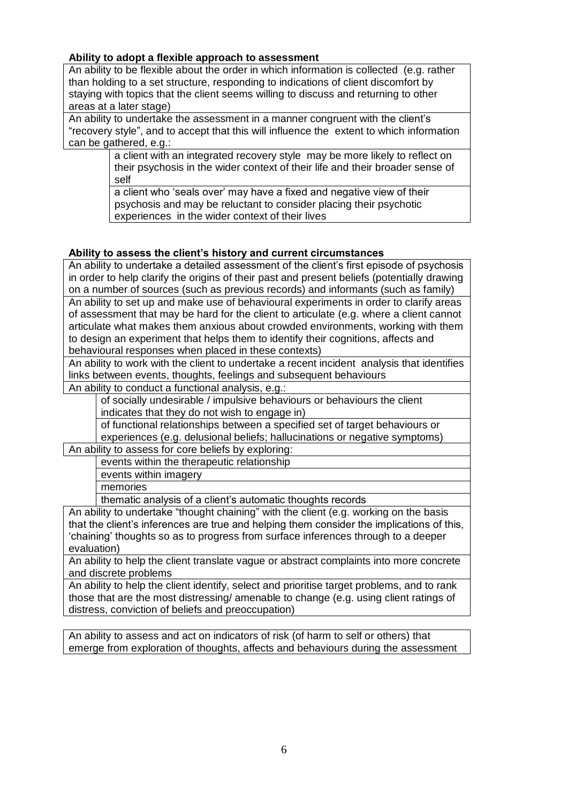## **Ability to adopt a flexible approach to assessment**

An ability to be flexible about the order in which information is collected (e.g. rather than holding to a set structure, responding to indications of client discomfort by staying with topics that the client seems willing to discuss and returning to other areas at a later stage)

An ability to undertake the assessment in a manner congruent with the client's "recovery style", and to accept that this will influence the extent to which information can be gathered, e.g.:

> a client with an integrated recovery style may be more likely to reflect on their psychosis in the wider context of their life and their broader sense of self

a client who 'seals over' may have a fixed and negative view of their psychosis and may be reluctant to consider placing their psychotic experiences in the wider context of their lives

# **Ability to assess the client's history and current circumstances**

An ability to undertake a detailed assessment of the client's first episode of psychosis in order to help clarify the origins of their past and present beliefs (potentially drawing on a number of sources (such as previous records) and informants (such as family) An ability to set up and make use of behavioural experiments in order to clarify areas of assessment that may be hard for the client to articulate (e.g. where a client cannot articulate what makes them anxious about crowded environments, working with them to design an experiment that helps them to identify their cognitions, affects and behavioural responses when placed in these contexts)

An ability to work with the client to undertake a recent incident analysis that identifies links between events, thoughts, feelings and subsequent behaviours

An ability to conduct a functional analysis, e.g.:

of socially undesirable / impulsive behaviours or behaviours the client indicates that they do not wish to engage in)

of functional relationships between a specified set of target behaviours or experiences (e.g. delusional beliefs; hallucinations or negative symptoms)

An ability to assess for core beliefs by exploring:

events within the therapeutic relationship

events within imagery

memories

thematic analysis of a client's automatic thoughts records

An ability to undertake "thought chaining" with the client (e.g. working on the basis that the client's inferences are true and helping them consider the implications of this, 'chaining' thoughts so as to progress from surface inferences through to a deeper evaluation)

An ability to help the client translate vague or abstract complaints into more concrete and discrete problems

An ability to help the client identify, select and prioritise target problems, and to rank those that are the most distressing/ amenable to change (e.g. using client ratings of distress, conviction of beliefs and preoccupation)

An ability to assess and act on indicators of risk (of harm to self or others) that emerge from exploration of thoughts, affects and behaviours during the assessment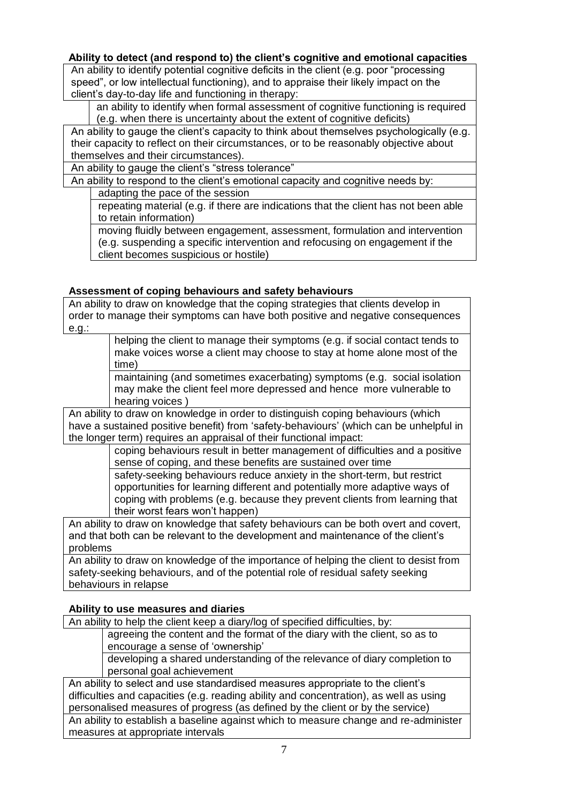## **Ability to detect (and respond to) the client's cognitive and emotional capacities**

An ability to identify potential cognitive deficits in the client (e.g. poor "processing speed", or low intellectual functioning), and to appraise their likely impact on the client's day-to-day life and functioning in therapy:

an ability to identify when formal assessment of cognitive functioning is required (e.g. when there is uncertainty about the extent of cognitive deficits)

An ability to gauge the client's capacity to think about themselves psychologically (e.g. their capacity to reflect on their circumstances, or to be reasonably objective about themselves and their circumstances).

An ability to gauge the client's "stress tolerance"

An ability to respond to the client's emotional capacity and cognitive needs by:

adapting the pace of the session

repeating material (e.g. if there are indications that the client has not been able to retain information)

moving fluidly between engagement, assessment, formulation and intervention (e.g. suspending a specific intervention and refocusing on engagement if the client becomes suspicious or hostile)

# **Assessment of coping behaviours and safety behaviours**

An ability to draw on knowledge that the coping strategies that clients develop in order to manage their symptoms can have both positive and negative consequences e.g.:

helping the client to manage their symptoms (e.g. if social contact tends to make voices worse a client may choose to stay at home alone most of the time)

maintaining (and sometimes exacerbating) symptoms (e.g. social isolation may make the client feel more depressed and hence more vulnerable to hearing voices )

An ability to draw on knowledge in order to distinguish coping behaviours (which have a sustained positive benefit) from 'safety-behaviours' (which can be unhelpful in the longer term) requires an appraisal of their functional impact:

coping behaviours result in better management of difficulties and a positive sense of coping, and these benefits are sustained over time safety-seeking behaviours reduce anxiety in the short-term, but restrict

opportunities for learning different and potentially more adaptive ways of coping with problems (e.g. because they prevent clients from learning that their worst fears won't happen)

An ability to draw on knowledge that safety behaviours can be both overt and covert, and that both can be relevant to the development and maintenance of the client's problems

An ability to draw on knowledge of the importance of helping the client to desist from safety-seeking behaviours, and of the potential role of residual safety seeking behaviours in relapse

# **Ability to use measures and diaries**

An ability to help the client keep a diary/log of specified difficulties, by:

agreeing the content and the format of the diary with the client, so as to encourage a sense of 'ownership'

developing a shared understanding of the relevance of diary completion to personal goal achievement

An ability to select and use standardised measures appropriate to the client's difficulties and capacities (e.g. reading ability and concentration), as well as using personalised measures of progress (as defined by the client or by the service)

An ability to establish a baseline against which to measure change and re-administer measures at appropriate intervals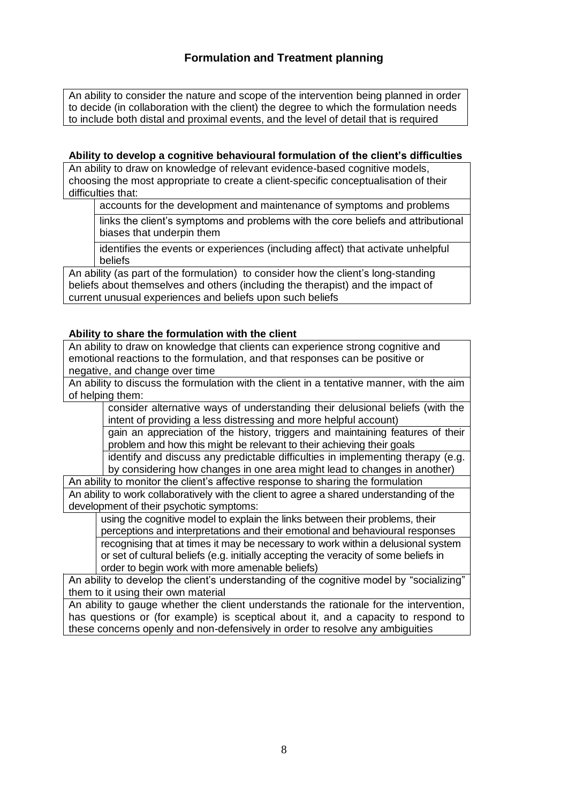An ability to consider the nature and scope of the intervention being planned in order to decide (in collaboration with the client) the degree to which the formulation needs to include both distal and proximal events, and the level of detail that is required

## **Ability to develop a cognitive behavioural formulation of the client's difficulties**

An ability to draw on knowledge of relevant evidence-based cognitive models, choosing the most appropriate to create a client-specific conceptualisation of their difficulties that:

accounts for the development and maintenance of symptoms and problems

links the client's symptoms and problems with the core beliefs and attributional biases that underpin them

identifies the events or experiences (including affect) that activate unhelpful beliefs

An ability (as part of the formulation) to consider how the client's long-standing beliefs about themselves and others (including the therapist) and the impact of current unusual experiences and beliefs upon such beliefs

## **Ability to share the formulation with the client**

An ability to draw on knowledge that clients can experience strong cognitive and emotional reactions to the formulation, and that responses can be positive or negative, and change over time

An ability to discuss the formulation with the client in a tentative manner, with the aim of helping them:

consider alternative ways of understanding their delusional beliefs (with the intent of providing a less distressing and more helpful account)

gain an appreciation of the history, triggers and maintaining features of their problem and how this might be relevant to their achieving their goals

identify and discuss any predictable difficulties in implementing therapy (e.g. by considering how changes in one area might lead to changes in another)

An ability to monitor the client's affective response to sharing the formulation An ability to work collaboratively with the client to agree a shared understanding of the development of their psychotic symptoms:

using the cognitive model to explain the links between their problems, their perceptions and interpretations and their emotional and behavioural responses recognising that at times it may be necessary to work within a delusional system or set of cultural beliefs (e.g. initially accepting the veracity of some beliefs in order to begin work with more amenable beliefs)

An ability to develop the client's understanding of the cognitive model by "socializing" them to it using their own material

An ability to gauge whether the client understands the rationale for the intervention, has questions or (for example) is sceptical about it, and a capacity to respond to these concerns openly and non-defensively in order to resolve any ambiguities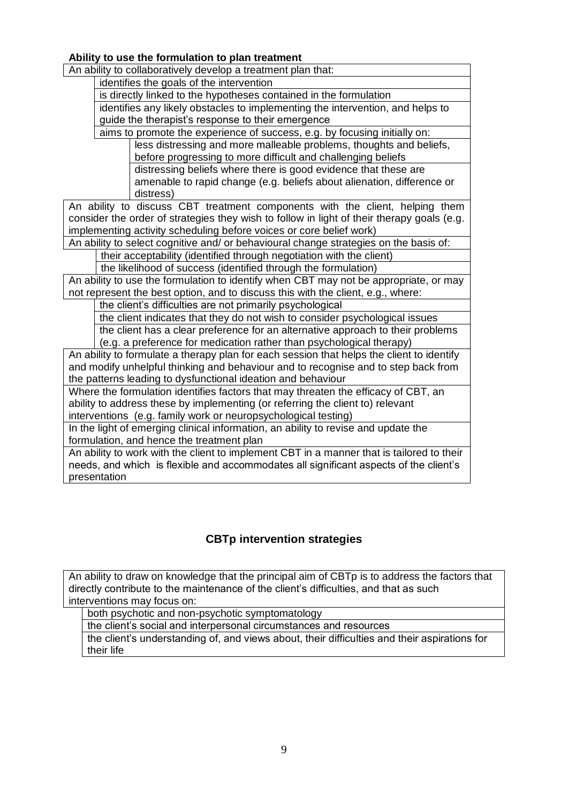**Ability to use the formulation to plan treatment** An ability to collaboratively develop a treatment plan that: identifies the goals of the intervention is directly linked to the hypotheses contained in the formulation identifies any likely obstacles to implementing the intervention, and helps to guide the therapist's response to their emergence aims to promote the experience of success, e.g. by focusing initially on: less distressing and more malleable problems, thoughts and beliefs, before progressing to more difficult and challenging beliefs distressing beliefs where there is good evidence that these are amenable to rapid change (e.g. beliefs about alienation, difference or distress) An ability to discuss CBT treatment components with the client, helping them consider the order of strategies they wish to follow in light of their therapy goals (e.g. implementing activity scheduling before voices or core belief work) An ability to select cognitive and/ or behavioural change strategies on the basis of: their acceptability (identified through negotiation with the client) the likelihood of success (identified through the formulation) An ability to use the formulation to identify when CBT may not be appropriate, or may not represent the best option, and to discuss this with the client, e.g., where: the client's difficulties are not primarily psychological the client indicates that they do not wish to consider psychological issues the client has a clear preference for an alternative approach to their problems (e.g. a preference for medication rather than psychological therapy) An ability to formulate a therapy plan for each session that helps the client to identify and modify unhelpful thinking and behaviour and to recognise and to step back from the patterns leading to dysfunctional ideation and behaviour Where the formulation identifies factors that may threaten the efficacy of CBT, an ability to address these by implementing (or referring the client to) relevant interventions (e.g. family work or neuropsychological testing) In the light of emerging clinical information, an ability to revise and update the formulation, and hence the treatment plan An ability to work with the client to implement CBT in a manner that is tailored to their

needs, and which is flexible and accommodates all significant aspects of the client's presentation

# **CBTp intervention strategies**

An ability to draw on knowledge that the principal aim of CBTp is to address the factors that directly contribute to the maintenance of the client's difficulties, and that as such interventions may focus on:

both psychotic and non-psychotic symptomatology

the client's social and interpersonal circumstances and resources

the client's understanding of, and views about, their difficulties and their aspirations for their life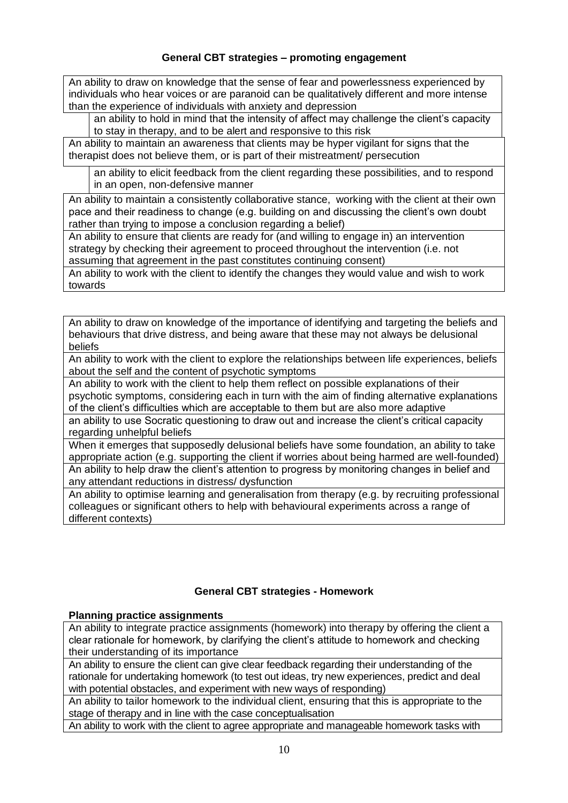# **General CBT strategies – promoting engagement**

An ability to draw on knowledge that the sense of fear and powerlessness experienced by individuals who hear voices or are paranoid can be qualitatively different and more intense than the experience of individuals with anxiety and depression

an ability to hold in mind that the intensity of affect may challenge the client's capacity to stay in therapy, and to be alert and responsive to this risk

An ability to maintain an awareness that clients may be hyper vigilant for signs that the therapist does not believe them, or is part of their mistreatment/ persecution

an ability to elicit feedback from the client regarding these possibilities, and to respond in an open, non-defensive manner

An ability to maintain a consistently collaborative stance, working with the client at their own pace and their readiness to change (e.g. building on and discussing the client's own doubt rather than trying to impose a conclusion regarding a belief)

An ability to ensure that clients are ready for (and willing to engage in) an intervention strategy by checking their agreement to proceed throughout the intervention (i.e. not assuming that agreement in the past constitutes continuing consent)

An ability to work with the client to identify the changes they would value and wish to work towards

An ability to draw on knowledge of the importance of identifying and targeting the beliefs and behaviours that drive distress, and being aware that these may not always be delusional beliefs

An ability to work with the client to explore the relationships between life experiences, beliefs about the self and the content of psychotic symptoms

An ability to work with the client to help them reflect on possible explanations of their psychotic symptoms, considering each in turn with the aim of finding alternative explanations of the client's difficulties which are acceptable to them but are also more adaptive

an ability to use Socratic questioning to draw out and increase the client's critical capacity regarding unhelpful beliefs

When it emerges that supposedly delusional beliefs have some foundation, an ability to take appropriate action (e.g. supporting the client if worries about being harmed are well-founded) An ability to help draw the client's attention to progress by monitoring changes in belief and any attendant reductions in distress/ dysfunction

An ability to optimise learning and generalisation from therapy (e.g. by recruiting professional colleagues or significant others to help with behavioural experiments across a range of different contexts)

## **General CBT strategies - Homework**

## **Planning practice assignments**

An ability to integrate practice assignments (homework) into therapy by offering the client a clear rationale for homework, by clarifying the client's attitude to homework and checking their understanding of its importance

An ability to ensure the client can give clear feedback regarding their understanding of the rationale for undertaking homework (to test out ideas, try new experiences, predict and deal with potential obstacles, and experiment with new ways of responding)

An ability to tailor homework to the individual client, ensuring that this is appropriate to the stage of therapy and in line with the case conceptualisation

An ability to work with the client to agree appropriate and manageable homework tasks with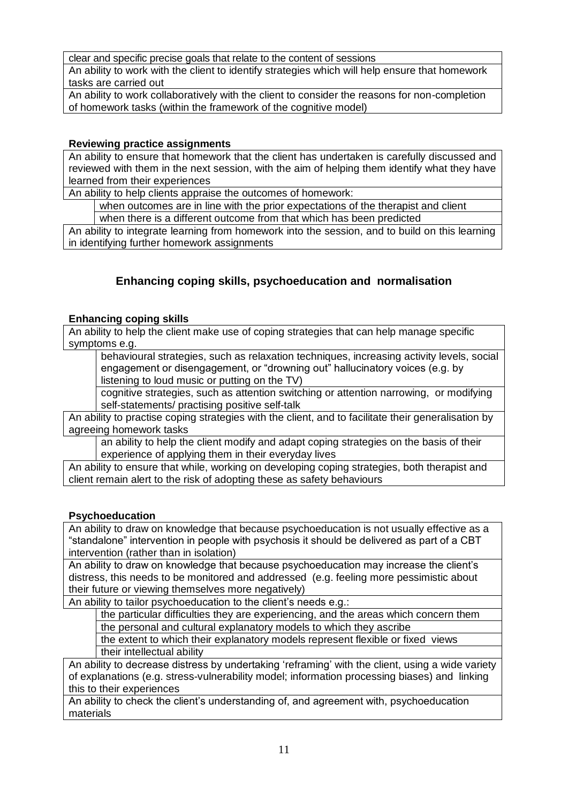clear and specific precise goals that relate to the content of sessions

An ability to work with the client to identify strategies which will help ensure that homework tasks are carried out

An ability to work collaboratively with the client to consider the reasons for non-completion of homework tasks (within the framework of the cognitive model)

# **Reviewing practice assignments**

An ability to ensure that homework that the client has undertaken is carefully discussed and reviewed with them in the next session, with the aim of helping them identify what they have learned from their experiences

An ability to help clients appraise the outcomes of homework:

when outcomes are in line with the prior expectations of the therapist and client

when there is a different outcome from that which has been predicted

An ability to integrate learning from homework into the session, and to build on this learning in identifying further homework assignments

# **Enhancing coping skills, psychoeducation and normalisation**

## **Enhancing coping skills**

An ability to help the client make use of coping strategies that can help manage specific symptoms e.g.

behavioural strategies, such as relaxation techniques, increasing activity levels, social engagement or disengagement, or "drowning out" hallucinatory voices (e.g. by listening to loud music or putting on the TV)

cognitive strategies, such as attention switching or attention narrowing, or modifying self-statements/ practising positive self-talk

An ability to practise coping strategies with the client, and to facilitate their generalisation by agreeing homework tasks

an ability to help the client modify and adapt coping strategies on the basis of their experience of applying them in their everyday lives

An ability to ensure that while, working on developing coping strategies, both therapist and client remain alert to the risk of adopting these as safety behaviours

## **Psychoeducation**

An ability to draw on knowledge that because psychoeducation is not usually effective as a "standalone" intervention in people with psychosis it should be delivered as part of a CBT intervention (rather than in isolation)

An ability to draw on knowledge that because psychoeducation may increase the client's distress, this needs to be monitored and addressed (e.g. feeling more pessimistic about their future or viewing themselves more negatively)

An ability to tailor psychoeducation to the client's needs e.g.:

the particular difficulties they are experiencing, and the areas which concern them the personal and cultural explanatory models to which they ascribe

the extent to which their explanatory models represent flexible or fixed views their intellectual ability

An ability to decrease distress by undertaking 'reframing' with the client, using a wide variety of explanations (e.g. stress-vulnerability model; information processing biases) and linking this to their experiences

An ability to check the client's understanding of, and agreement with, psychoeducation materials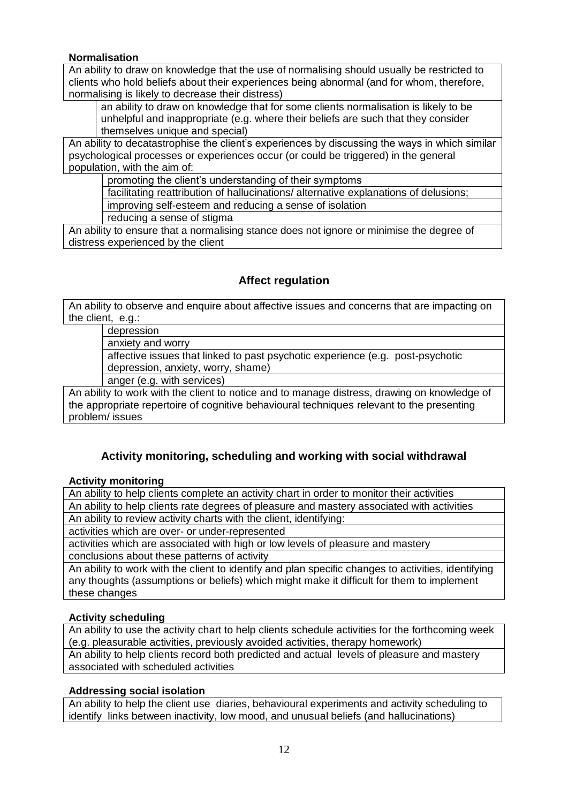## **Normalisation**

An ability to draw on knowledge that the use of normalising should usually be restricted to clients who hold beliefs about their experiences being abnormal (and for whom, therefore, normalising is likely to decrease their distress)

an ability to draw on knowledge that for some clients normalisation is likely to be unhelpful and inappropriate (e.g. where their beliefs are such that they consider themselves unique and special)

An ability to decatastrophise the client's experiences by discussing the ways in which similar psychological processes or experiences occur (or could be triggered) in the general population, with the aim of:

promoting the client's understanding of their symptoms

facilitating reattribution of hallucinations/ alternative explanations of delusions;

improving self-esteem and reducing a sense of isolation

reducing a sense of stigma

An ability to ensure that a normalising stance does not ignore or minimise the degree of distress experienced by the client

# **Affect regulation**

An ability to observe and enquire about affective issues and concerns that are impacting on the client, e.g.:

depression

anxiety and worry

affective issues that linked to past psychotic experience (e.g. post-psychotic depression, anxiety, worry, shame)

anger (e.g. with services)

An ability to work with the client to notice and to manage distress, drawing on knowledge of the appropriate repertoire of cognitive behavioural techniques relevant to the presenting problem/ issues

# **Activity monitoring, scheduling and working with social withdrawal**

## **Activity monitoring**

An ability to help clients complete an activity chart in order to monitor their activities An ability to help clients rate degrees of pleasure and mastery associated with activities An ability to review activity charts with the client, identifying:

activities which are over- or under-represented

activities which are associated with high or low levels of pleasure and mastery

conclusions about these patterns of activity

An ability to work with the client to identify and plan specific changes to activities, identifying any thoughts (assumptions or beliefs) which might make it difficult for them to implement these changes

# **Activity scheduling**

An ability to use the activity chart to help clients schedule activities for the forthcoming week (e.g. pleasurable activities, previously avoided activities, therapy homework)

An ability to help clients record both predicted and actual levels of pleasure and mastery associated with scheduled activities

# **Addressing social isolation**

An ability to help the client use diaries, behavioural experiments and activity scheduling to identify links between inactivity, low mood, and unusual beliefs (and hallucinations)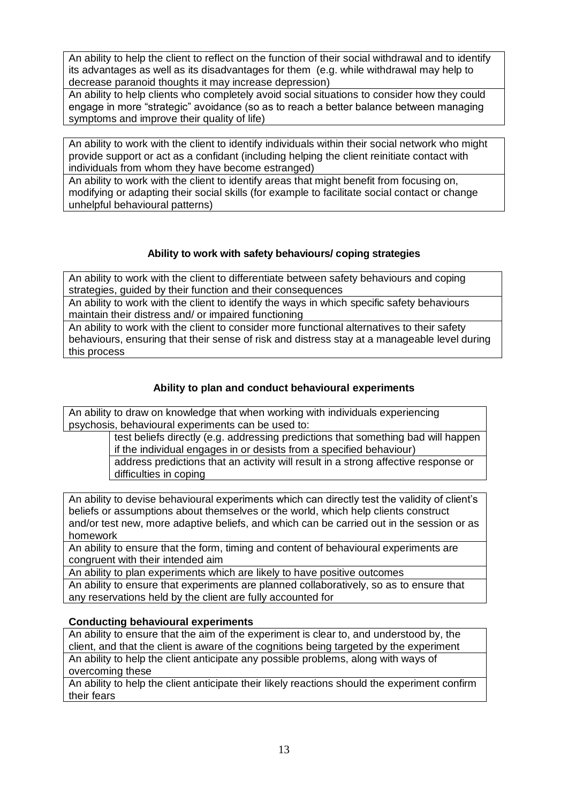An ability to help the client to reflect on the function of their social withdrawal and to identify its advantages as well as its disadvantages for them (e.g. while withdrawal may help to decrease paranoid thoughts it may increase depression)

An ability to help clients who completely avoid social situations to consider how they could engage in more "strategic" avoidance (so as to reach a better balance between managing symptoms and improve their quality of life)

An ability to work with the client to identify individuals within their social network who might provide support or act as a confidant (including helping the client reinitiate contact with individuals from whom they have become estranged)

An ability to work with the client to identify areas that might benefit from focusing on, modifying or adapting their social skills (for example to facilitate social contact or change unhelpful behavioural patterns)

# **Ability to work with safety behaviours/ coping strategies**

An ability to work with the client to differentiate between safety behaviours and coping strategies, guided by their function and their consequences

An ability to work with the client to identify the ways in which specific safety behaviours maintain their distress and/ or impaired functioning

An ability to work with the client to consider more functional alternatives to their safety behaviours, ensuring that their sense of risk and distress stay at a manageable level during this process

# **Ability to plan and conduct behavioural experiments**

An ability to draw on knowledge that when working with individuals experiencing psychosis, behavioural experiments can be used to:

> test beliefs directly (e.g. addressing predictions that something bad will happen if the individual engages in or desists from a specified behaviour)

address predictions that an activity will result in a strong affective response or difficulties in coping

An ability to devise behavioural experiments which can directly test the validity of client's beliefs or assumptions about themselves or the world, which help clients construct and/or test new, more adaptive beliefs, and which can be carried out in the session or as homework

An ability to ensure that the form, timing and content of behavioural experiments are congruent with their intended aim

An ability to plan experiments which are likely to have positive outcomes

An ability to ensure that experiments are planned collaboratively, so as to ensure that any reservations held by the client are fully accounted for

## **Conducting behavioural experiments**

An ability to ensure that the aim of the experiment is clear to, and understood by, the client, and that the client is aware of the cognitions being targeted by the experiment An ability to help the client anticipate any possible problems, along with ways of overcoming these

An ability to help the client anticipate their likely reactions should the experiment confirm their fears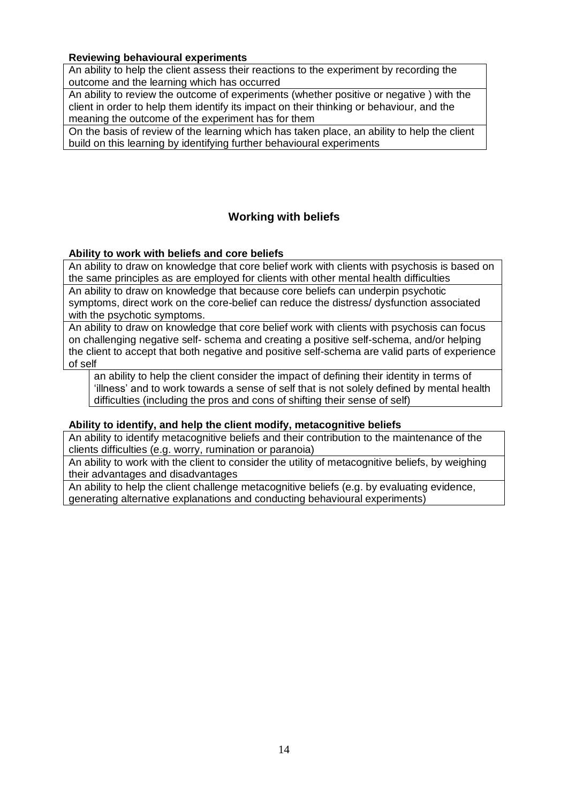#### **Reviewing behavioural experiments**

An ability to help the client assess their reactions to the experiment by recording the outcome and the learning which has occurred

An ability to review the outcome of experiments (whether positive or negative ) with the client in order to help them identify its impact on their thinking or behaviour, and the meaning the outcome of the experiment has for them

On the basis of review of the learning which has taken place, an ability to help the client build on this learning by identifying further behavioural experiments

# **Working with beliefs**

## **Ability to work with beliefs and core beliefs**

An ability to draw on knowledge that core belief work with clients with psychosis is based on the same principles as are employed for clients with other mental health difficulties

An ability to draw on knowledge that because core beliefs can underpin psychotic symptoms, direct work on the core-belief can reduce the distress/ dysfunction associated with the psychotic symptoms.

An ability to draw on knowledge that core belief work with clients with psychosis can focus on challenging negative self- schema and creating a positive self-schema, and/or helping the client to accept that both negative and positive self-schema are valid parts of experience of self

an ability to help the client consider the impact of defining their identity in terms of 'illness' and to work towards a sense of self that is not solely defined by mental health difficulties (including the pros and cons of shifting their sense of self)

#### **Ability to identify, and help the client modify, metacognitive beliefs**

An ability to identify metacognitive beliefs and their contribution to the maintenance of the clients difficulties (e.g. worry, rumination or paranoia)

An ability to work with the client to consider the utility of metacognitive beliefs, by weighing their advantages and disadvantages

An ability to help the client challenge metacognitive beliefs (e.g. by evaluating evidence, generating alternative explanations and conducting behavioural experiments)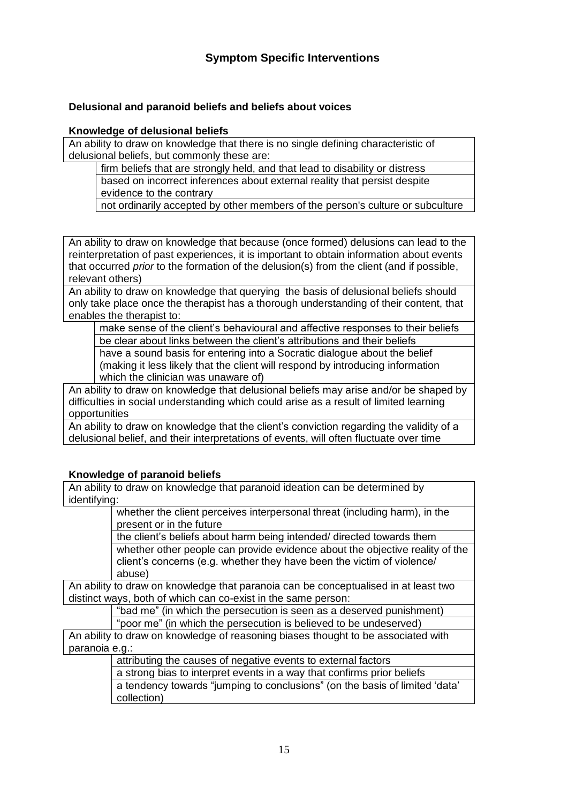# **Delusional and paranoid beliefs and beliefs about voices**

#### **Knowledge of delusional beliefs**

An ability to draw on knowledge that there is no single defining characteristic of delusional beliefs, but commonly these are:

firm beliefs that are strongly held, and that lead to disability or distress

based on incorrect inferences about external reality that persist despite evidence to the contrary

not ordinarily accepted by other members of the person's culture or subculture

An ability to draw on knowledge that because (once formed) delusions can lead to the reinterpretation of past experiences, it is important to obtain information about events that occurred *prior* to the formation of the delusion(s) from the client (and if possible, relevant others)

An ability to draw on knowledge that querying the basis of delusional beliefs should only take place once the therapist has a thorough understanding of their content, that enables the therapist to:

make sense of the client's behavioural and affective responses to their beliefs be clear about links between the client's attributions and their beliefs

have a sound basis for entering into a Socratic dialogue about the belief (making it less likely that the client will respond by introducing information which the clinician was unaware of)

An ability to draw on knowledge that delusional beliefs may arise and/or be shaped by difficulties in social understanding which could arise as a result of limited learning opportunities

An ability to draw on knowledge that the client's conviction regarding the validity of a delusional belief, and their interpretations of events, will often fluctuate over time

## **Knowledge of paranoid beliefs**

An ability to draw on knowledge that paranoid ideation can be determined by identifying:

> whether the client perceives interpersonal threat (including harm), in the present or in the future

the client's beliefs about harm being intended/ directed towards them

whether other people can provide evidence about the objective reality of the client's concerns (e.g. whether they have been the victim of violence/ abuse)

An ability to draw on knowledge that paranoia can be conceptualised in at least two distinct ways, both of which can co-exist in the same person:

"bad me" (in which the persecution is seen as a deserved punishment)

"poor me" (in which the persecution is believed to be undeserved)

An ability to draw on knowledge of reasoning biases thought to be associated with paranoia e.g.:

attributing the causes of negative events to external factors

a strong bias to interpret events in a way that confirms prior beliefs

a tendency towards "jumping to conclusions" (on the basis of limited 'data' collection)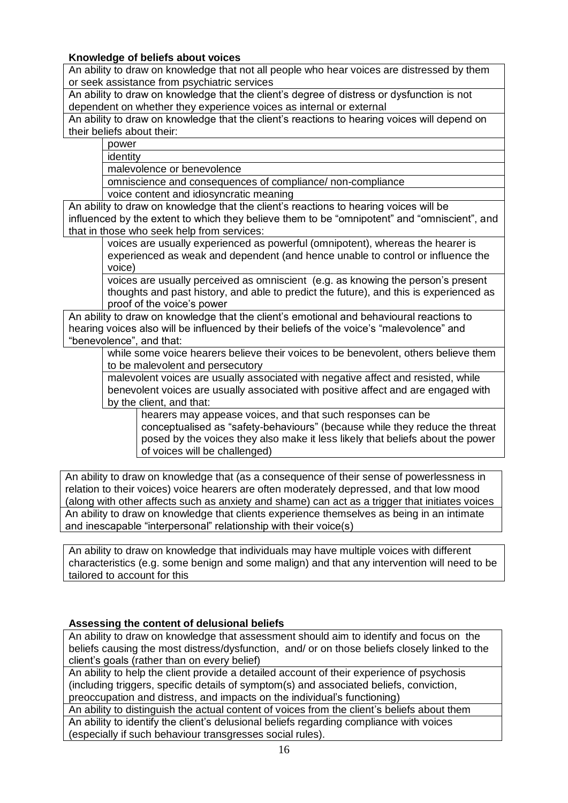## **Knowledge of beliefs about voices**

An ability to draw on knowledge that not all people who hear voices are distressed by them or seek assistance from psychiatric services

An ability to draw on knowledge that the client's degree of distress or dysfunction is not dependent on whether they experience voices as internal or external

An ability to draw on knowledge that the client's reactions to hearing voices will depend on their beliefs about their:

power

identity malevolence or benevolence

omniscience and consequences of compliance/ non-compliance

voice content and idiosyncratic meaning

An ability to draw on knowledge that the client's reactions to hearing voices will be influenced by the extent to which they believe them to be "omnipotent" and "omniscient", and that in those who seek help from services:

voices are usually experienced as powerful (omnipotent), whereas the hearer is experienced as weak and dependent (and hence unable to control or influence the voice)

voices are usually perceived as omniscient (e.g. as knowing the person's present thoughts and past history, and able to predict the future), and this is experienced as proof of the voice's power

An ability to draw on knowledge that the client's emotional and behavioural reactions to hearing voices also will be influenced by their beliefs of the voice's "malevolence" and "benevolence", and that:

while some voice hearers believe their voices to be benevolent, others believe them to be malevolent and persecutory

malevolent voices are usually associated with negative affect and resisted, while benevolent voices are usually associated with positive affect and are engaged with by the client, and that:

hearers may appease voices, and that such responses can be conceptualised as "safety-behaviours" (because while they reduce the threat posed by the voices they also make it less likely that beliefs about the power of voices will be challenged)

An ability to draw on knowledge that (as a consequence of their sense of powerlessness in relation to their voices) voice hearers are often moderately depressed, and that low mood (along with other affects such as anxiety and shame) can act as a trigger that initiates voices An ability to draw on knowledge that clients experience themselves as being in an intimate and inescapable "interpersonal" relationship with their voice(s)

An ability to draw on knowledge that individuals may have multiple voices with different characteristics (e.g. some benign and some malign) and that any intervention will need to be tailored to account for this

# **Assessing the content of delusional beliefs**

An ability to draw on knowledge that assessment should aim to identify and focus on the beliefs causing the most distress/dysfunction, and/ or on those beliefs closely linked to the client's goals (rather than on every belief)

An ability to help the client provide a detailed account of their experience of psychosis (including triggers, specific details of symptom(s) and associated beliefs, conviction, preoccupation and distress, and impacts on the individual's functioning)

An ability to distinguish the actual content of voices from the client's beliefs about them An ability to identify the client's delusional beliefs regarding compliance with voices (especially if such behaviour transgresses social rules).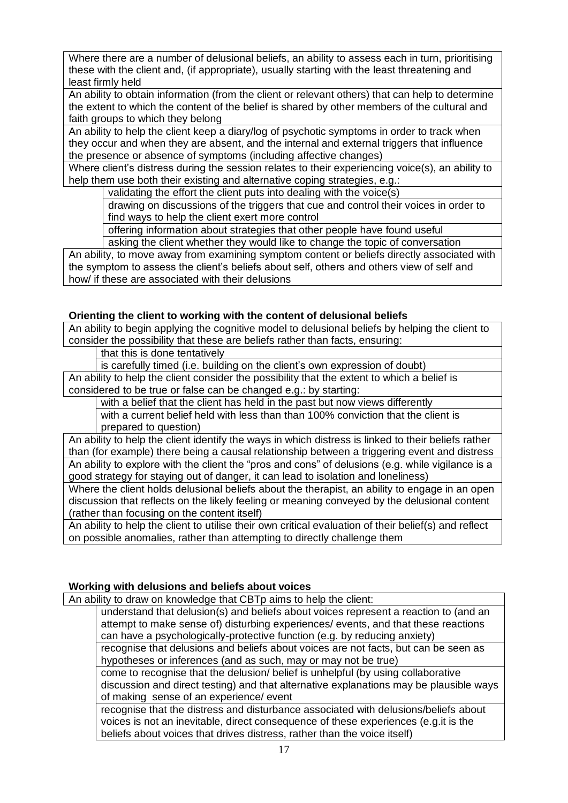Where there are a number of delusional beliefs, an ability to assess each in turn, prioritising these with the client and, (if appropriate), usually starting with the least threatening and least firmly held

An ability to obtain information (from the client or relevant others) that can help to determine the extent to which the content of the belief is shared by other members of the cultural and faith groups to which they belong

An ability to help the client keep a diary/log of psychotic symptoms in order to track when they occur and when they are absent, and the internal and external triggers that influence the presence or absence of symptoms (including affective changes)

Where client's distress during the session relates to their experiencing voice(s), an ability to help them use both their existing and alternative coping strategies, e.g.:

validating the effort the client puts into dealing with the voice(s)

drawing on discussions of the triggers that cue and control their voices in order to find ways to help the client exert more control

offering information about strategies that other people have found useful

asking the client whether they would like to change the topic of conversation An ability, to move away from examining symptom content or beliefs directly associated with the symptom to assess the client's beliefs about self, others and others view of self and how/ if these are associated with their delusions

# **Orienting the client to working with the content of delusional beliefs**

An ability to begin applying the cognitive model to delusional beliefs by helping the client to consider the possibility that these are beliefs rather than facts, ensuring:

that this is done tentatively

is carefully timed (i.e. building on the client's own expression of doubt)

An ability to help the client consider the possibility that the extent to which a belief is considered to be true or false can be changed e.g.: by starting:

with a belief that the client has held in the past but now views differently

with a current belief held with less than than 100% conviction that the client is prepared to question)

An ability to help the client identify the ways in which distress is linked to their beliefs rather than (for example) there being a causal relationship between a triggering event and distress An ability to explore with the client the "pros and cons" of delusions (e.g. while vigilance is a good strategy for staying out of danger, it can lead to isolation and loneliness)

Where the client holds delusional beliefs about the therapist, an ability to engage in an open discussion that reflects on the likely feeling or meaning conveyed by the delusional content (rather than focusing on the content itself)

An ability to help the client to utilise their own critical evaluation of their belief(s) and reflect on possible anomalies, rather than attempting to directly challenge them

## **Working with delusions and beliefs about voices**

An ability to draw on knowledge that CBTp aims to help the client:

understand that delusion(s) and beliefs about voices represent a reaction to (and an attempt to make sense of) disturbing experiences/ events, and that these reactions can have a psychologically-protective function (e.g. by reducing anxiety)

recognise that delusions and beliefs about voices are not facts, but can be seen as hypotheses or inferences (and as such, may or may not be true)

come to recognise that the delusion/ belief is unhelpful (by using collaborative discussion and direct testing) and that alternative explanations may be plausible ways of making sense of an experience/ event

recognise that the distress and disturbance associated with delusions/beliefs about voices is not an inevitable, direct consequence of these experiences (e.g.it is the beliefs about voices that drives distress, rather than the voice itself)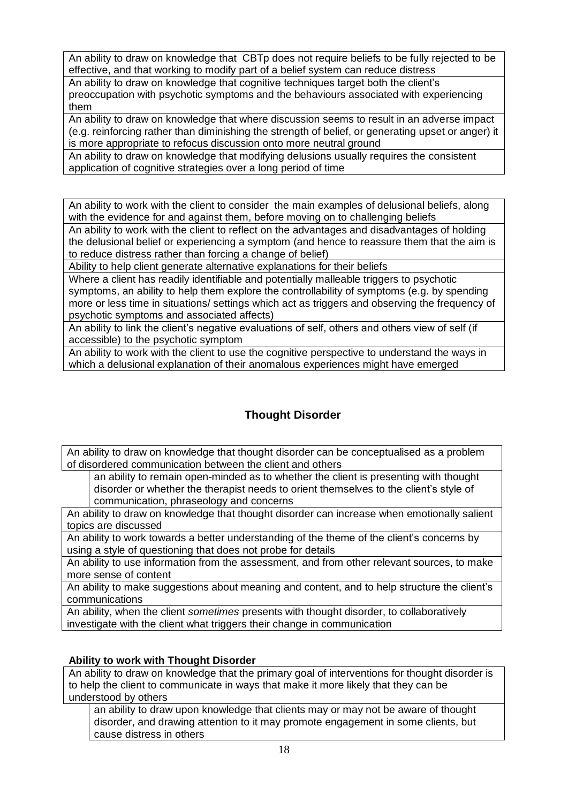An ability to draw on knowledge that CBTp does not require beliefs to be fully rejected to be effective, and that working to modify part of a belief system can reduce distress

An ability to draw on knowledge that cognitive techniques target both the client's preoccupation with psychotic symptoms and the behaviours associated with experiencing them

An ability to draw on knowledge that where discussion seems to result in an adverse impact (e.g. reinforcing rather than diminishing the strength of belief, or generating upset or anger) it is more appropriate to refocus discussion onto more neutral ground

An ability to draw on knowledge that modifying delusions usually requires the consistent application of cognitive strategies over a long period of time

An ability to work with the client to consider the main examples of delusional beliefs, along with the evidence for and against them, before moving on to challenging beliefs

An ability to work with the client to reflect on the advantages and disadvantages of holding the delusional belief or experiencing a symptom (and hence to reassure them that the aim is to reduce distress rather than forcing a change of belief)

Ability to help client generate alternative explanations for their beliefs

Where a client has readily identifiable and potentially malleable triggers to psychotic symptoms, an ability to help them explore the controllability of symptoms (e.g. by spending more or less time in situations/ settings which act as triggers and observing the frequency of psychotic symptoms and associated affects)

An ability to link the client's negative evaluations of self, others and others view of self (if accessible) to the psychotic symptom

An ability to work with the client to use the cognitive perspective to understand the ways in which a delusional explanation of their anomalous experiences might have emerged

# **Thought Disorder**

An ability to draw on knowledge that thought disorder can be conceptualised as a problem of disordered communication between the client and others

an ability to remain open-minded as to whether the client is presenting with thought disorder or whether the therapist needs to orient themselves to the client's style of communication, phraseology and concerns

An ability to draw on knowledge that thought disorder can increase when emotionally salient topics are discussed

An ability to work towards a better understanding of the theme of the client's concerns by using a style of questioning that does not probe for details

An ability to use information from the assessment, and from other relevant sources, to make more sense of content

An ability to make suggestions about meaning and content, and to help structure the client's communications

An ability, when the client *sometimes* presents with thought disorder, to collaboratively investigate with the client what triggers their change in communication

# **Ability to work with Thought Disorder**

An ability to draw on knowledge that the primary goal of interventions for thought disorder is to help the client to communicate in ways that make it more likely that they can be understood by others

an ability to draw upon knowledge that clients may or may not be aware of thought disorder, and drawing attention to it may promote engagement in some clients, but cause distress in others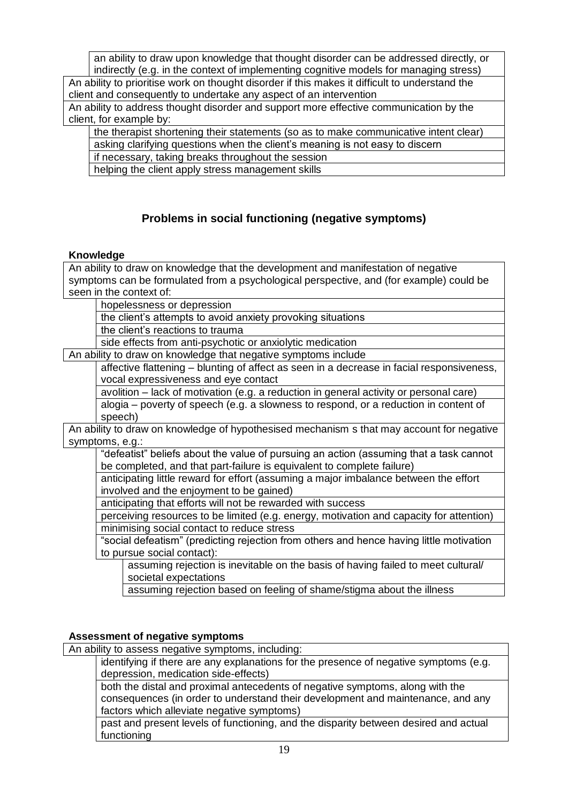an ability to draw upon knowledge that thought disorder can be addressed directly, or indirectly (e.g. in the context of implementing cognitive models for managing stress) An ability to prioritise work on thought disorder if this makes it difficult to understand the

client and consequently to undertake any aspect of an intervention

An ability to address thought disorder and support more effective communication by the client, for example by:

the therapist shortening their statements (so as to make communicative intent clear) asking clarifying questions when the client's meaning is not easy to discern if necessary, taking breaks throughout the session

helping the client apply stress management skills

# **Problems in social functioning (negative symptoms)**

# **Knowledge**

An ability to draw on knowledge that the development and manifestation of negative symptoms can be formulated from a psychological perspective, and (for example) could be seen in the context of:

hopelessness or depression

the client's attempts to avoid anxiety provoking situations

the client's reactions to trauma

side effects from anti-psychotic or anxiolytic medication

An ability to draw on knowledge that negative symptoms include

affective flattening – blunting of affect as seen in a decrease in facial responsiveness, vocal expressiveness and eye contact

avolition – lack of motivation (e.g. a reduction in general activity or personal care) alogia – poverty of speech (e.g. a slowness to respond, or a reduction in content of speech)

An ability to draw on knowledge of hypothesised mechanism s that may account for negative symptoms, e.g.:

"defeatist" beliefs about the value of pursuing an action (assuming that a task cannot be completed, and that part-failure is equivalent to complete failure)

anticipating little reward for effort (assuming a major imbalance between the effort involved and the enjoyment to be gained)

anticipating that efforts will not be rewarded with success

perceiving resources to be limited (e.g. energy, motivation and capacity for attention) minimising social contact to reduce stress

"social defeatism" (predicting rejection from others and hence having little motivation to pursue social contact):

assuming rejection is inevitable on the basis of having failed to meet cultural/ societal expectations

assuming rejection based on feeling of shame/stigma about the illness

# **Assessment of negative symptoms**

An ability to assess negative symptoms, including:

identifying if there are any explanations for the presence of negative symptoms (e.g. depression, medication side-effects)

both the distal and proximal antecedents of negative symptoms, along with the consequences (in order to understand their development and maintenance, and any factors which alleviate negative symptoms)

past and present levels of functioning, and the disparity between desired and actual functioning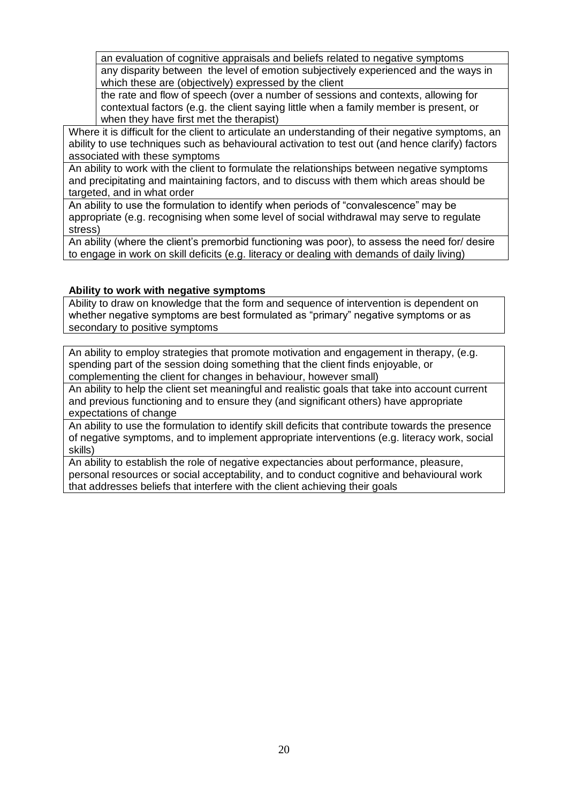an evaluation of cognitive appraisals and beliefs related to negative symptoms any disparity between the level of emotion subjectively experienced and the ways in which these are (objectively) expressed by the client

the rate and flow of speech (over a number of sessions and contexts, allowing for contextual factors (e.g. the client saying little when a family member is present, or when they have first met the therapist)

Where it is difficult for the client to articulate an understanding of their negative symptoms, an ability to use techniques such as behavioural activation to test out (and hence clarify) factors associated with these symptoms

An ability to work with the client to formulate the relationships between negative symptoms and precipitating and maintaining factors, and to discuss with them which areas should be targeted, and in what order

An ability to use the formulation to identify when periods of "convalescence" may be appropriate (e.g. recognising when some level of social withdrawal may serve to regulate stress)

An ability (where the client's premorbid functioning was poor), to assess the need for/ desire to engage in work on skill deficits (e.g. literacy or dealing with demands of daily living)

## **Ability to work with negative symptoms**

Ability to draw on knowledge that the form and sequence of intervention is dependent on whether negative symptoms are best formulated as "primary" negative symptoms or as secondary to positive symptoms

An ability to employ strategies that promote motivation and engagement in therapy, (e.g. spending part of the session doing something that the client finds enjoyable, or complementing the client for changes in behaviour, however small)

An ability to help the client set meaningful and realistic goals that take into account current and previous functioning and to ensure they (and significant others) have appropriate expectations of change

An ability to use the formulation to identify skill deficits that contribute towards the presence of negative symptoms, and to implement appropriate interventions (e.g. literacy work, social skills)

An ability to establish the role of negative expectancies about performance, pleasure, personal resources or social acceptability, and to conduct cognitive and behavioural work that addresses beliefs that interfere with the client achieving their goals